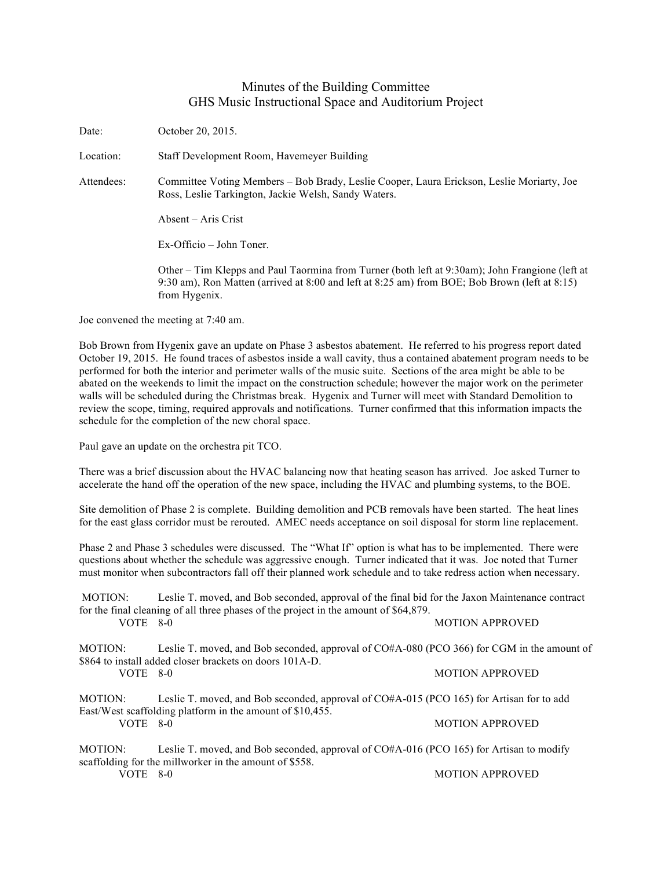## Minutes of the Building Committee GHS Music Instructional Space and Auditorium Project

Date: **October 20, 2015.** Location: Staff Development Room, Havemeyer Building Attendees: Committee Voting Members – Bob Brady, Leslie Cooper, Laura Erickson, Leslie Moriarty, Joe Ross, Leslie Tarkington, Jackie Welsh, Sandy Waters. Absent – Aris Crist Ex-Officio – John Toner. Other – Tim Klepps and Paul Taormina from Turner (both left at 9:30am); John Frangione (left at 9:30 am), Ron Matten (arrived at 8:00 and left at 8:25 am) from BOE; Bob Brown (left at 8:15) from Hygenix.

Joe convened the meeting at 7:40 am.

Bob Brown from Hygenix gave an update on Phase 3 asbestos abatement. He referred to his progress report dated October 19, 2015. He found traces of asbestos inside a wall cavity, thus a contained abatement program needs to be performed for both the interior and perimeter walls of the music suite. Sections of the area might be able to be abated on the weekends to limit the impact on the construction schedule; however the major work on the perimeter walls will be scheduled during the Christmas break. Hygenix and Turner will meet with Standard Demolition to review the scope, timing, required approvals and notifications. Turner confirmed that this information impacts the schedule for the completion of the new choral space.

Paul gave an update on the orchestra pit TCO.

There was a brief discussion about the HVAC balancing now that heating season has arrived. Joe asked Turner to accelerate the hand off the operation of the new space, including the HVAC and plumbing systems, to the BOE.

Site demolition of Phase 2 is complete. Building demolition and PCB removals have been started. The heat lines for the east glass corridor must be rerouted. AMEC needs acceptance on soil disposal for storm line replacement.

Phase 2 and Phase 3 schedules were discussed. The "What If" option is what has to be implemented. There were questions about whether the schedule was aggressive enough. Turner indicated that it was. Joe noted that Turner must monitor when subcontractors fall off their planned work schedule and to take redress action when necessary.

MOTION: Leslie T. moved, and Bob seconded, approval of the final bid for the Jaxon Maintenance contract for the final cleaning of all three phases of the project in the amount of \$64,879. VOTE 8-0 MOTION APPROVED

MOTION: Leslie T. moved, and Bob seconded, approval of CO#A-080 (PCO 366) for CGM in the amount of \$864 to install added closer brackets on doors 101A-D. VOTE 8-0 MOTION APPROVED

MOTION: Leslie T. moved, and Bob seconded, approval of CO#A-015 (PCO 165) for Artisan for to add East/West scaffolding platform in the amount of \$10,455. VOTE 8-0 MOTION APPROVED

MOTION: Leslie T. moved, and Bob seconded, approval of CO#A-016 (PCO 165) for Artisan to modify scaffolding for the millworker in the amount of \$558. VOTE 8-0 MOTION APPROVED